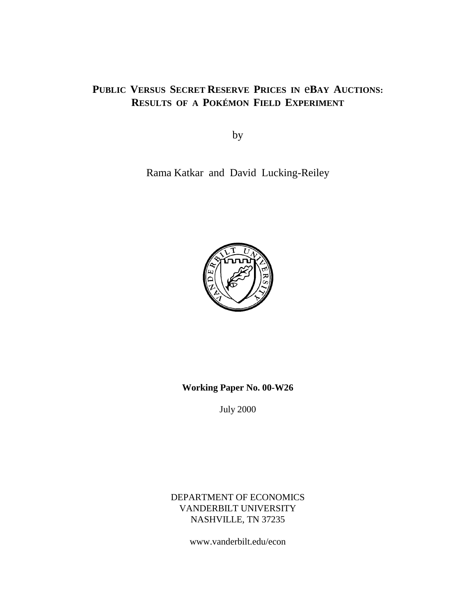# PUBLIC VERSUS SECRET RESERVE PRICES IN **eBAY AUCTIONS**: **RESULTS OF A POKÉMON FIELD EXPERIMENT**

by

Rama Katkar and David Lucking-Reiley



**Working Paper No. 00-W26** 

July 2000

DEPARTMENT OF ECONOMICS VANDERBILT UNIVERSITY NASHVILLE, TN 37235

www.vanderbilt.edu/econ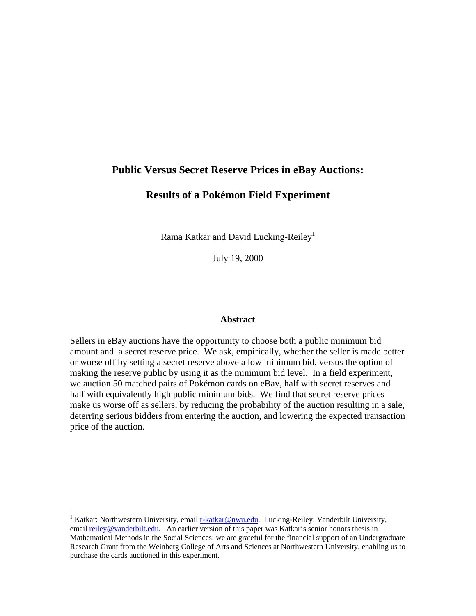## **Public Versus Secret Reserve Prices in eBay Auctions:**

## **Results of a Pokémon Field Experiment**

Rama Katkar and David Lucking-Reiley<sup>1</sup>

July 19, 2000

#### **Abstract**

Sellers in eBay auctions have the opportunity to choose both a public minimum bid amount and a secret reserve price. We ask, empirically, whether the seller is made better or worse off by setting a secret reserve above a low minimum bid, versus the option of making the reserve public by using it as the minimum bid level. In a field experiment, we auction 50 matched pairs of Pokémon cards on eBay, half with secret reserves and half with equivalently high public minimum bids. We find that secret reserve prices make us worse off as sellers, by reducing the probability of the auction resulting in a sale, deterring serious bidders from entering the auction, and lowering the expected transaction price of the auction.

<sup>&</sup>lt;sup>1</sup> Katkar: Northwestern University, email r-katkar@nwu.edu. Lucking-Reiley: Vanderbilt University, email reiley@vanderbilt.edu. An earlier version of this paper was Katkar's senior honors thesis in Mathematical Methods in the Social Sciences; we are grateful for the financial support of an Undergraduate Research Grant from the Weinberg College of Arts and Sciences at Northwestern University, enabling us to purchase the cards auctioned in this experiment.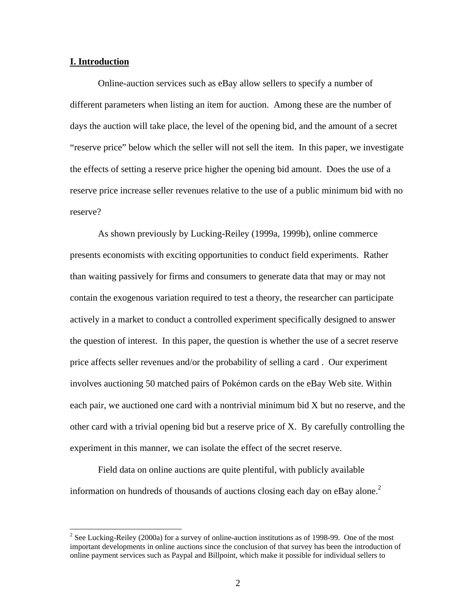#### **I. Introduction**

 $\overline{a}$ 

Online-auction services such as eBay allow sellers to specify a number of different parameters when listing an item for auction. Among these are the number of days the auction will take place, the level of the opening bid, and the amount of a secret "reserve price" below which the seller will not sell the item. In this paper, we investigate the effects of setting a reserve price higher the opening bid amount. Does the use of a reserve price increase seller revenues relative to the use of a public minimum bid with no reserve?

As shown previously by Lucking-Reiley (1999a, 1999b), online commerce presents economists with exciting opportunities to conduct field experiments. Rather than waiting passively for firms and consumers to generate data that may or may not contain the exogenous variation required to test a theory, the researcher can participate actively in a market to conduct a controlled experiment specifically designed to answer the question of interest. In this paper, the question is whether the use of a secret reserve price affects seller revenues and/or the probability of selling a card . Our experiment involves auctioning 50 matched pairs of Pokémon cards on the eBay Web site. Within each pair, we auctioned one card with a nontrivial minimum bid X but no reserve, and the other card with a trivial opening bid but a reserve price of X. By carefully controlling the experiment in this manner, we can isolate the effect of the secret reserve.

Field data on online auctions are quite plentiful, with publicly available information on hundreds of thousands of auctions closing each day on eBay alone.<sup>2</sup>

 $2^{2}$  See Lucking-Reiley (2000a) for a survey of online-auction institutions as of 1998-99. One of the most important developments in online auctions since the conclusion of that survey has been the introduction of online payment services such as Paypal and Billpoint, which make it possible for individual sellers to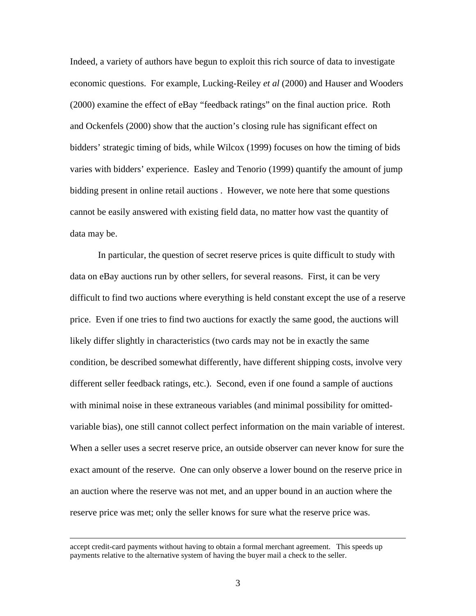Indeed, a variety of authors have begun to exploit this rich source of data to investigate economic questions. For example, Lucking-Reiley *et al* (2000) and Hauser and Wooders (2000) examine the effect of eBay "feedback ratings" on the final auction price. Roth and Ockenfels (2000) show that the auction's closing rule has significant effect on bidders' strategic timing of bids, while Wilcox (1999) focuses on how the timing of bids varies with bidders' experience. Easley and Tenorio (1999) quantify the amount of jump bidding present in online retail auctions . However, we note here that some questions cannot be easily answered with existing field data, no matter how vast the quantity of data may be.

In particular, the question of secret reserve prices is quite difficult to study with data on eBay auctions run by other sellers, for several reasons. First, it can be very difficult to find two auctions where everything is held constant except the use of a reserve price. Even if one tries to find two auctions for exactly the same good, the auctions will likely differ slightly in characteristics (two cards may not be in exactly the same condition, be described somewhat differently, have different shipping costs, involve very different seller feedback ratings, etc.). Second, even if one found a sample of auctions with minimal noise in these extraneous variables (and minimal possibility for omittedvariable bias), one still cannot collect perfect information on the main variable of interest. When a seller uses a secret reserve price, an outside observer can never know for sure the exact amount of the reserve. One can only observe a lower bound on the reserve price in an auction where the reserve was not met, and an upper bound in an auction where the reserve price was met; only the seller knows for sure what the reserve price was.

accept credit-card payments without having to obtain a formal merchant agreement. This speeds up payments relative to the alternative system of having the buyer mail a check to the seller.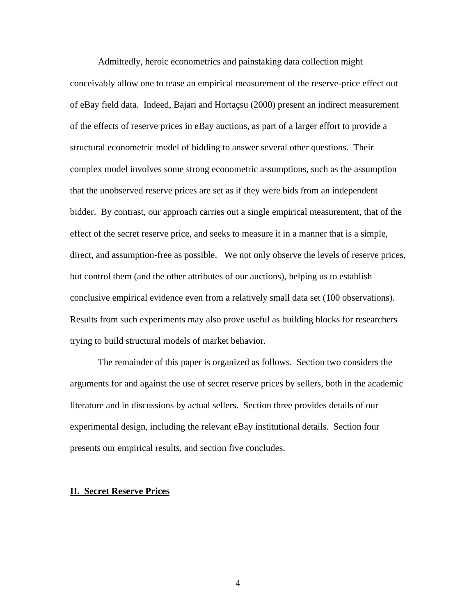Admittedly, heroic econometrics and painstaking data collection might conceivably allow one to tease an empirical measurement of the reserve-price effect out of eBay field data. Indeed, Bajari and Hortaçsu (2000) present an indirect measurement of the effects of reserve prices in eBay auctions, as part of a larger effort to provide a structural econometric model of bidding to answer several other questions. Their complex model involves some strong econometric assumptions, such as the assumption that the unobserved reserve prices are set as if they were bids from an independent bidder. By contrast, our approach carries out a single empirical measurement, that of the effect of the secret reserve price, and seeks to measure it in a manner that is a simple, direct, and assumption-free as possible. We not only observe the levels of reserve prices, but control them (and the other attributes of our auctions), helping us to establish conclusive empirical evidence even from a relatively small data set (100 observations). Results from such experiments may also prove useful as building blocks for researchers trying to build structural models of market behavior.

The remainder of this paper is organized as follows. Section two considers the arguments for and against the use of secret reserve prices by sellers, both in the academic literature and in discussions by actual sellers. Section three provides details of our experimental design, including the relevant eBay institutional details. Section four presents our empirical results, and section five concludes.

#### **II. Secret Reserve Prices**

4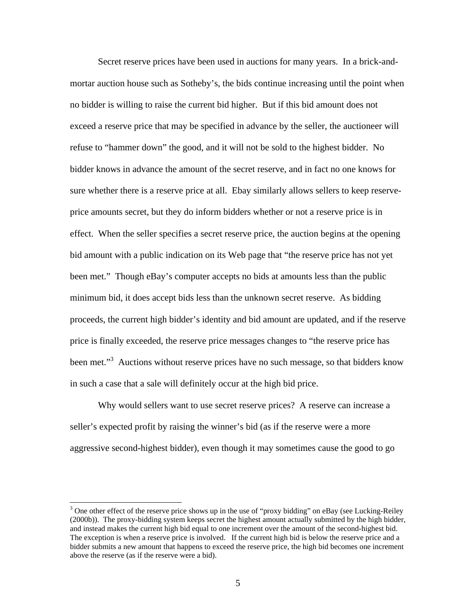Secret reserve prices have been used in auctions for many years. In a brick-andmortar auction house such as Sotheby's, the bids continue increasing until the point when no bidder is willing to raise the current bid higher. But if this bid amount does not exceed a reserve price that may be specified in advance by the seller, the auctioneer will refuse to "hammer down" the good, and it will not be sold to the highest bidder. No bidder knows in advance the amount of the secret reserve, and in fact no one knows for sure whether there is a reserve price at all. Ebay similarly allows sellers to keep reserveprice amounts secret, but they do inform bidders whether or not a reserve price is in effect. When the seller specifies a secret reserve price, the auction begins at the opening bid amount with a public indication on its Web page that "the reserve price has not yet been met." Though eBay's computer accepts no bids at amounts less than the public minimum bid, it does accept bids less than the unknown secret reserve. As bidding proceeds, the current high bidder's identity and bid amount are updated, and if the reserve price is finally exceeded, the reserve price messages changes to "the reserve price has been met."<sup>3</sup> Auctions without reserve prices have no such message, so that bidders know in such a case that a sale will definitely occur at the high bid price.

Why would sellers want to use secret reserve prices? A reserve can increase a seller's expected profit by raising the winner's bid (as if the reserve were a more aggressive second-highest bidder), even though it may sometimes cause the good to go

 $3$  One other effect of the reserve price shows up in the use of "proxy bidding" on eBay (see Lucking-Reiley (2000b)). The proxy-bidding system keeps secret the highest amount actually submitted by the high bidder, and instead makes the current high bid equal to one increment over the amount of the second-highest bid. The exception is when a reserve price is involved. If the current high bid is below the reserve price and a bidder submits a new amount that happens to exceed the reserve price, the high bid becomes one increment above the reserve (as if the reserve were a bid).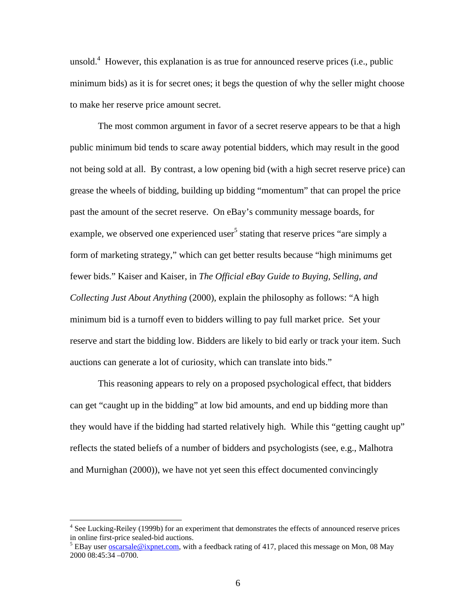unsold.<sup>4</sup> However, this explanation is as true for announced reserve prices (i.e., public minimum bids) as it is for secret ones; it begs the question of why the seller might choose to make her reserve price amount secret.

The most common argument in favor of a secret reserve appears to be that a high public minimum bid tends to scare away potential bidders, which may result in the good not being sold at all. By contrast, a low opening bid (with a high secret reserve price) can grease the wheels of bidding, building up bidding "momentum" that can propel the price past the amount of the secret reserve. On eBay's community message boards, for example, we observed one experienced user<sup>5</sup> stating that reserve prices "are simply a form of marketing strategy," which can get better results because "high minimums get fewer bids." Kaiser and Kaiser, in *The Official eBay Guide to Buying, Selling, and Collecting Just About Anything* (2000), explain the philosophy as follows: "A high minimum bid is a turnoff even to bidders willing to pay full market price. Set your reserve and start the bidding low. Bidders are likely to bid early or track your item. Such auctions can generate a lot of curiosity, which can translate into bids."

This reasoning appears to rely on a proposed psychological effect, that bidders can get "caught up in the bidding" at low bid amounts, and end up bidding more than they would have if the bidding had started relatively high. While this "getting caught up" reflects the stated beliefs of a number of bidders and psychologists (see, e.g., Malhotra and Murnighan (2000)), we have not yet seen this effect documented convincingly

<sup>&</sup>lt;sup>4</sup> See Lucking-Reiley (1999b) for an experiment that demonstrates the effects of announced reserve prices in online first-price sealed-bid auctions.<br><sup>5</sup> EBay user <u>oscarsale@ixpnet.com</u>, with a feedback rating of 417, placed this message on Mon, 08 May

<sup>2000 08:45:34 –0700.</sup>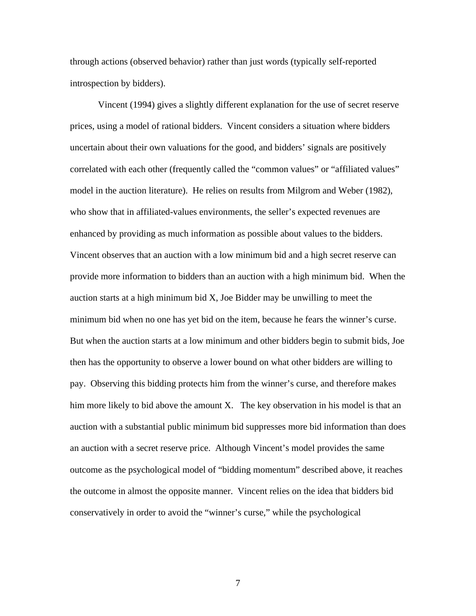through actions (observed behavior) rather than just words (typically self-reported introspection by bidders).

Vincent (1994) gives a slightly different explanation for the use of secret reserve prices, using a model of rational bidders. Vincent considers a situation where bidders uncertain about their own valuations for the good, and bidders' signals are positively correlated with each other (frequently called the "common values" or "affiliated values" model in the auction literature). He relies on results from Milgrom and Weber (1982), who show that in affiliated-values environments, the seller's expected revenues are enhanced by providing as much information as possible about values to the bidders. Vincent observes that an auction with a low minimum bid and a high secret reserve can provide more information to bidders than an auction with a high minimum bid. When the auction starts at a high minimum bid X, Joe Bidder may be unwilling to meet the minimum bid when no one has yet bid on the item, because he fears the winner's curse. But when the auction starts at a low minimum and other bidders begin to submit bids, Joe then has the opportunity to observe a lower bound on what other bidders are willing to pay. Observing this bidding protects him from the winner's curse, and therefore makes him more likely to bid above the amount X. The key observation in his model is that an auction with a substantial public minimum bid suppresses more bid information than does an auction with a secret reserve price. Although Vincent's model provides the same outcome as the psychological model of "bidding momentum" described above, it reaches the outcome in almost the opposite manner. Vincent relies on the idea that bidders bid conservatively in order to avoid the "winner's curse," while the psychological

7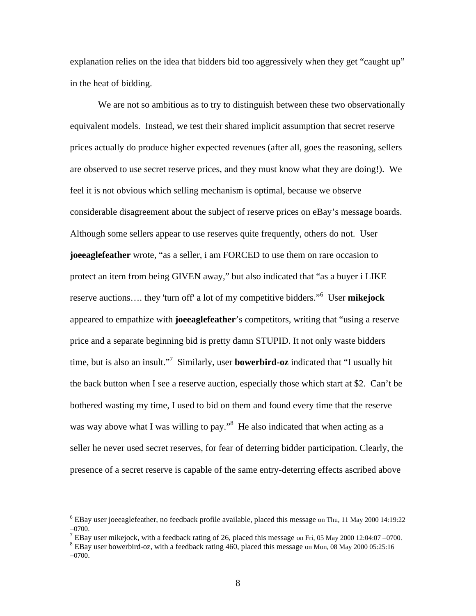explanation relies on the idea that bidders bid too aggressively when they get "caught up" in the heat of bidding.

We are not so ambitious as to try to distinguish between these two observationally equivalent models. Instead, we test their shared implicit assumption that secret reserve prices actually do produce higher expected revenues (after all, goes the reasoning, sellers are observed to use secret reserve prices, and they must know what they are doing!). We feel it is not obvious which selling mechanism is optimal, because we observe considerable disagreement about the subject of reserve prices on eBay's message boards. Although some sellers appear to use reserves quite frequently, others do not. User **joeeaglefeather** wrote, "as a seller, i am FORCED to use them on rare occasion to protect an item from being GIVEN away," but also indicated that "as a buyer i LIKE reserve auctions…. they 'turn off' a lot of my competitive bidders."<sup>6</sup> User **mikejock** appeared to empathize with **joeeaglefeather**'s competitors, writing that "using a reserve price and a separate beginning bid is pretty damn STUPID. It not only waste bidders time, but is also an insult."<sup>7</sup> Similarly, user **bowerbird-oz** indicated that "I usually hit the back button when I see a reserve auction, especially those which start at \$2. Can't be bothered wasting my time, I used to bid on them and found every time that the reserve was way above what I was willing to pay."<sup>8</sup> He also indicated that when acting as a seller he never used secret reserves, for fear of deterring bidder participation. Clearly, the presence of a secret reserve is capable of the same entry-deterring effects ascribed above

<sup>&</sup>lt;sup>6</sup> EBay user joeeaglefeather, no feedback profile available, placed this message on Thu, 11 May 2000 14:19:22 –0700.

<sup>&</sup>lt;sup>7</sup> EBay user mikejock, with a feedback rating of 26, placed this message on Fri, 05 May 2000 12:04:07 –0700.

<sup>&</sup>lt;sup>8</sup> EBay user bowerbird-oz, with a feedback rating 460, placed this message on Mon, 08 May 2000 05:25:16 –0700.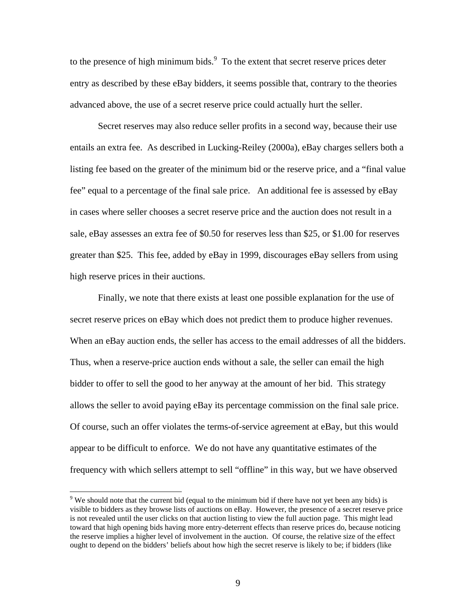to the presence of high minimum bids. $\degree$  To the extent that secret reserve prices deter entry as described by these eBay bidders, it seems possible that, contrary to the theories advanced above, the use of a secret reserve price could actually hurt the seller.

Secret reserves may also reduce seller profits in a second way, because their use entails an extra fee. As described in Lucking-Reiley (2000a), eBay charges sellers both a listing fee based on the greater of the minimum bid or the reserve price, and a "final value fee" equal to a percentage of the final sale price. An additional fee is assessed by eBay in cases where seller chooses a secret reserve price and the auction does not result in a sale, eBay assesses an extra fee of \$0.50 for reserves less than \$25, or \$1.00 for reserves greater than \$25. This fee, added by eBay in 1999, discourages eBay sellers from using high reserve prices in their auctions.

Finally, we note that there exists at least one possible explanation for the use of secret reserve prices on eBay which does not predict them to produce higher revenues. When an eBay auction ends, the seller has access to the email addresses of all the bidders. Thus, when a reserve-price auction ends without a sale, the seller can email the high bidder to offer to sell the good to her anyway at the amount of her bid. This strategy allows the seller to avoid paying eBay its percentage commission on the final sale price. Of course, such an offer violates the terms-of-service agreement at eBay, but this would appear to be difficult to enforce. We do not have any quantitative estimates of the frequency with which sellers attempt to sell "offline" in this way, but we have observed

 $9$  We should note that the current bid (equal to the minimum bid if there have not yet been any bids) is visible to bidders as they browse lists of auctions on eBay. However, the presence of a secret reserve price is not revealed until the user clicks on that auction listing to view the full auction page. This might lead toward that high opening bids having more entry-deterrent effects than reserve prices do, because noticing the reserve implies a higher level of involvement in the auction. Of course, the relative size of the effect ought to depend on the bidders' beliefs about how high the secret reserve is likely to be; if bidders (like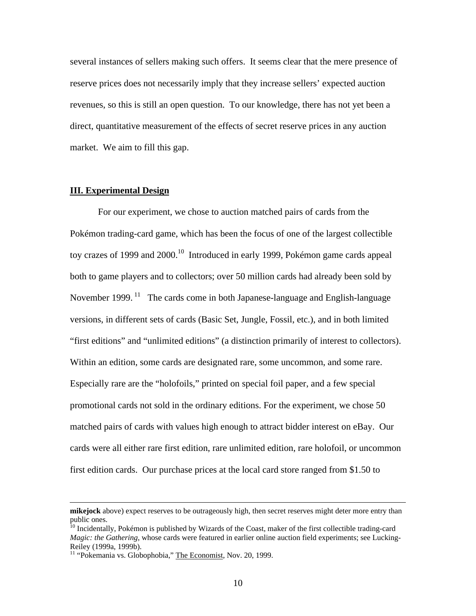several instances of sellers making such offers. It seems clear that the mere presence of reserve prices does not necessarily imply that they increase sellers' expected auction revenues, so this is still an open question. To our knowledge, there has not yet been a direct, quantitative measurement of the effects of secret reserve prices in any auction market. We aim to fill this gap.

#### **III. Experimental Design**

 $\overline{a}$ 

For our experiment, we chose to auction matched pairs of cards from the Pokémon trading-card game, which has been the focus of one of the largest collectible toy crazes of 1999 and 2000.<sup>10</sup> Introduced in early 1999, Pokémon game cards appeal both to game players and to collectors; over 50 million cards had already been sold by November 1999.<sup>11</sup> The cards come in both Japanese-language and English-language versions, in different sets of cards (Basic Set, Jungle, Fossil, etc.), and in both limited "first editions" and "unlimited editions" (a distinction primarily of interest to collectors). Within an edition, some cards are designated rare, some uncommon, and some rare. Especially rare are the "holofoils," printed on special foil paper, and a few special promotional cards not sold in the ordinary editions. For the experiment, we chose 50 matched pairs of cards with values high enough to attract bidder interest on eBay. Our cards were all either rare first edition, rare unlimited edition, rare holofoil, or uncommon first edition cards. Our purchase prices at the local card store ranged from \$1.50 to

**mikejock** above) expect reserves to be outrageously high, then secret reserves might deter more entry than public ones.

 $10$  Incidentally, Pokémon is published by Wizards of the Coast, maker of the first collectible trading-card *Magic: the Gathering*, whose cards were featured in earlier online auction field experiments; see Lucking-Reiley (1999a, 1999b).

 $11$  "Pokemania vs. Globophobia," The Economist, Nov. 20, 1999.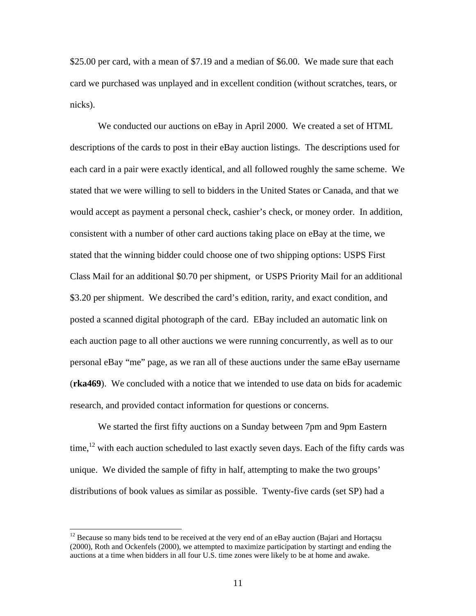\$25.00 per card, with a mean of \$7.19 and a median of \$6.00. We made sure that each card we purchased was unplayed and in excellent condition (without scratches, tears, or nicks).

We conducted our auctions on eBay in April 2000. We created a set of HTML descriptions of the cards to post in their eBay auction listings. The descriptions used for each card in a pair were exactly identical, and all followed roughly the same scheme. We stated that we were willing to sell to bidders in the United States or Canada, and that we would accept as payment a personal check, cashier's check, or money order. In addition, consistent with a number of other card auctions taking place on eBay at the time, we stated that the winning bidder could choose one of two shipping options: USPS First Class Mail for an additional \$0.70 per shipment, or USPS Priority Mail for an additional \$3.20 per shipment. We described the card's edition, rarity, and exact condition, and posted a scanned digital photograph of the card. EBay included an automatic link on each auction page to all other auctions we were running concurrently, as well as to our personal eBay "me" page, as we ran all of these auctions under the same eBay username (**rka469**). We concluded with a notice that we intended to use data on bids for academic research, and provided contact information for questions or concerns.

We started the first fifty auctions on a Sunday between 7pm and 9pm Eastern time,<sup>12</sup> with each auction scheduled to last exactly seven days. Each of the fifty cards was unique. We divided the sample of fifty in half, attempting to make the two groups' distributions of book values as similar as possible. Twenty-five cards (set SP) had a

 $12$  Because so many bids tend to be received at the very end of an eBay auction (Bajari and Hortaçsu (2000), Roth and Ockenfels (2000), we attempted to maximize participation by startingt and ending the auctions at a time when bidders in all four U.S. time zones were likely to be at home and awake.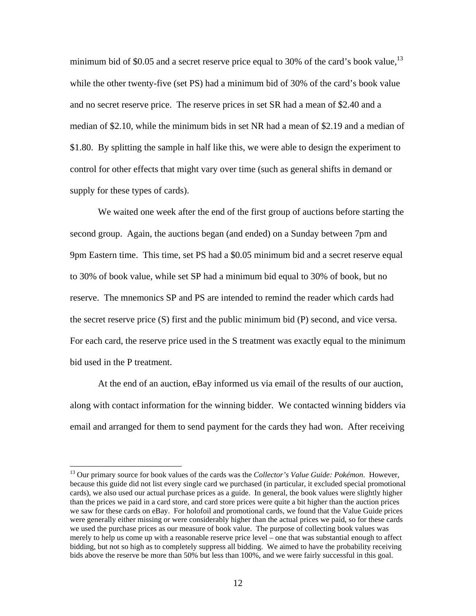minimum bid of \$0.05 and a secret reserve price equal to 30% of the card's book value,  $^{13}$ while the other twenty-five (set PS) had a minimum bid of 30% of the card's book value and no secret reserve price. The reserve prices in set SR had a mean of \$2.40 and a median of \$2.10, while the minimum bids in set NR had a mean of \$2.19 and a median of \$1.80. By splitting the sample in half like this, we were able to design the experiment to control for other effects that might vary over time (such as general shifts in demand or supply for these types of cards).

We waited one week after the end of the first group of auctions before starting the second group. Again, the auctions began (and ended) on a Sunday between 7pm and 9pm Eastern time. This time, set PS had a \$0.05 minimum bid and a secret reserve equal to 30% of book value, while set SP had a minimum bid equal to 30% of book, but no reserve. The mnemonics SP and PS are intended to remind the reader which cards had the secret reserve price (S) first and the public minimum bid (P) second, and vice versa. For each card, the reserve price used in the S treatment was exactly equal to the minimum bid used in the P treatment.

At the end of an auction, eBay informed us via email of the results of our auction, along with contact information for the winning bidder. We contacted winning bidders via email and arranged for them to send payment for the cards they had won. After receiving

<sup>13</sup> Our primary source for book values of the cards was the *Collector's Value Guide: Pokémon*. However, because this guide did not list every single card we purchased (in particular, it excluded special promotional cards), we also used our actual purchase prices as a guide. In general, the book values were slightly higher than the prices we paid in a card store, and card store prices were quite a bit higher than the auction prices we saw for these cards on eBay. For holofoil and promotional cards, we found that the Value Guide prices were generally either missing or were considerably higher than the actual prices we paid, so for these cards we used the purchase prices as our measure of book value. The purpose of collecting book values was merely to help us come up with a reasonable reserve price level – one that was substantial enough to affect bidding, but not so high as to completely suppress all bidding. We aimed to have the probability receiving bids above the reserve be more than 50% but less than 100%, and we were fairly successful in this goal.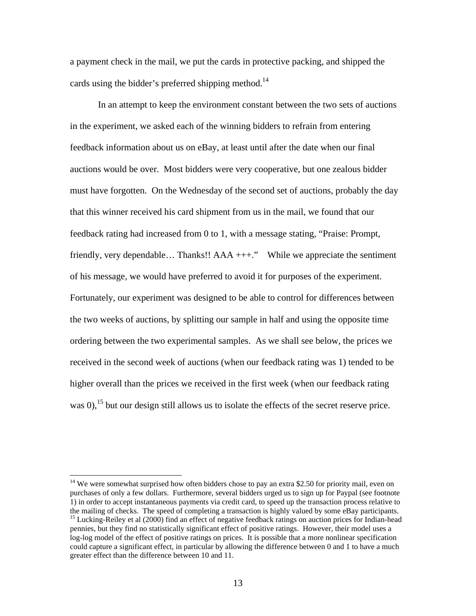a payment check in the mail, we put the cards in protective packing, and shipped the cards using the bidder's preferred shipping method.<sup>14</sup>

In an attempt to keep the environment constant between the two sets of auctions in the experiment, we asked each of the winning bidders to refrain from entering feedback information about us on eBay, at least until after the date when our final auctions would be over. Most bidders were very cooperative, but one zealous bidder must have forgotten. On the Wednesday of the second set of auctions, probably the day that this winner received his card shipment from us in the mail, we found that our feedback rating had increased from 0 to 1, with a message stating, "Praise: Prompt, friendly, very dependable… Thanks!! AAA +++." While we appreciate the sentiment of his message, we would have preferred to avoid it for purposes of the experiment. Fortunately, our experiment was designed to be able to control for differences between the two weeks of auctions, by splitting our sample in half and using the opposite time ordering between the two experimental samples. As we shall see below, the prices we received in the second week of auctions (when our feedback rating was 1) tended to be higher overall than the prices we received in the first week (when our feedback rating was  $0$ ), <sup>15</sup> but our design still allows us to isolate the effects of the secret reserve price.

 $14$  We were somewhat surprised how often bidders chose to pay an extra \$2.50 for priority mail, even on purchases of only a few dollars. Furthermore, several bidders urged us to sign up for Paypal (see footnote 1) in order to accept instantaneous payments via credit card, to speed up the transaction process relative to the mailing of checks. The speed of completing a transaction is highly valued by some eBay participants. <sup>15</sup> Lucking-Reiley et al (2000) find an effect of negative feedback ratings on auction prices for Indian-head pennies, but they find no statistically significant effect of positive ratings. However, their model uses a log-log model of the effect of positive ratings on prices. It is possible that a more nonlinear specification could capture a significant effect, in particular by allowing the difference between 0 and 1 to have a much greater effect than the difference between 10 and 11.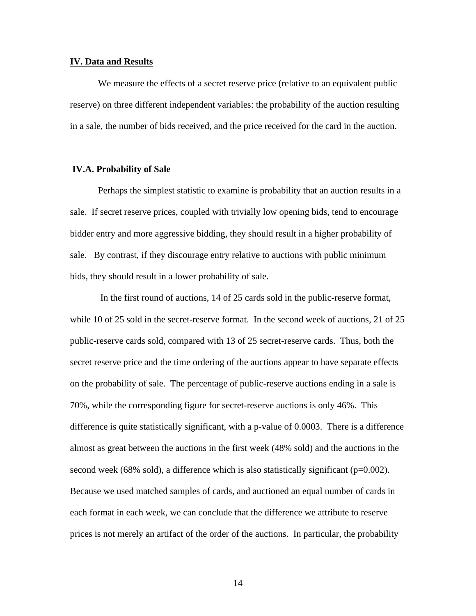#### **IV. Data and Results**

We measure the effects of a secret reserve price (relative to an equivalent public reserve) on three different independent variables: the probability of the auction resulting in a sale, the number of bids received, and the price received for the card in the auction.

#### **IV.A. Probability of Sale**

Perhaps the simplest statistic to examine is probability that an auction results in a sale. If secret reserve prices, coupled with trivially low opening bids, tend to encourage bidder entry and more aggressive bidding, they should result in a higher probability of sale. By contrast, if they discourage entry relative to auctions with public minimum bids, they should result in a lower probability of sale.

 In the first round of auctions, 14 of 25 cards sold in the public-reserve format, while 10 of 25 sold in the secret-reserve format. In the second week of auctions, 21 of 25 public-reserve cards sold, compared with 13 of 25 secret-reserve cards. Thus, both the secret reserve price and the time ordering of the auctions appear to have separate effects on the probability of sale. The percentage of public-reserve auctions ending in a sale is 70%, while the corresponding figure for secret-reserve auctions is only 46%. This difference is quite statistically significant, with a p-value of 0.0003. There is a difference almost as great between the auctions in the first week (48% sold) and the auctions in the second week (68% sold), a difference which is also statistically significant ( $p=0.002$ ). Because we used matched samples of cards, and auctioned an equal number of cards in each format in each week, we can conclude that the difference we attribute to reserve prices is not merely an artifact of the order of the auctions. In particular, the probability

14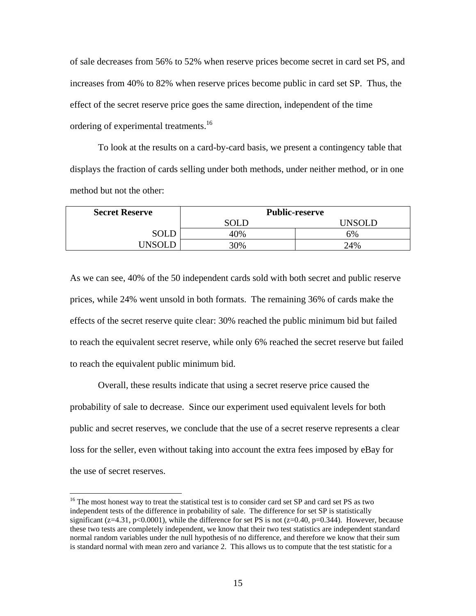of sale decreases from 56% to 52% when reserve prices become secret in card set PS, and increases from 40% to 82% when reserve prices become public in card set SP. Thus, the effect of the secret reserve price goes the same direction, independent of the time ordering of experimental treatments.<sup>16</sup>

To look at the results on a card-by-card basis, we present a contingency table that displays the fraction of cards selling under both methods, under neither method, or in one method but not the other:

| <b>Secret Reserve</b> | <b>Public-reserve</b> |         |  |
|-----------------------|-----------------------|---------|--|
|                       | SOI F                 | 'JNSOLD |  |
| SOLD                  | 40%                   | 6%      |  |
| UNSOLD                | 30%                   | 24%     |  |

As we can see, 40% of the 50 independent cards sold with both secret and public reserve prices, while 24% went unsold in both formats. The remaining 36% of cards make the effects of the secret reserve quite clear: 30% reached the public minimum bid but failed to reach the equivalent secret reserve, while only 6% reached the secret reserve but failed to reach the equivalent public minimum bid.

Overall, these results indicate that using a secret reserve price caused the probability of sale to decrease. Since our experiment used equivalent levels for both public and secret reserves, we conclude that the use of a secret reserve represents a clear loss for the seller, even without taking into account the extra fees imposed by eBay for the use of secret reserves.

<sup>&</sup>lt;sup>16</sup> The most honest way to treat the statistical test is to consider card set SP and card set PS as two independent tests of the difference in probability of sale. The difference for set SP is statistically significant (z=4.31, p<0.0001), while the difference for set PS is not (z=0.40, p=0.344). However, because these two tests are completely independent, we know that their two test statistics are independent standard normal random variables under the null hypothesis of no difference, and therefore we know that their sum is standard normal with mean zero and variance 2. This allows us to compute that the test statistic for a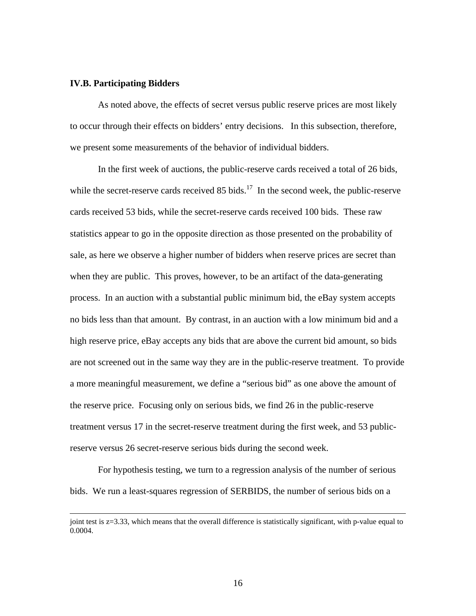#### **IV.B. Participating Bidders**

 $\overline{a}$ 

As noted above, the effects of secret versus public reserve prices are most likely to occur through their effects on bidders' entry decisions. In this subsection, therefore, we present some measurements of the behavior of individual bidders.

In the first week of auctions, the public-reserve cards received a total of 26 bids, while the secret-reserve cards received 85 bids.<sup>17</sup> In the second week, the public-reserve cards received 53 bids, while the secret-reserve cards received 100 bids. These raw statistics appear to go in the opposite direction as those presented on the probability of sale, as here we observe a higher number of bidders when reserve prices are secret than when they are public. This proves, however, to be an artifact of the data-generating process. In an auction with a substantial public minimum bid, the eBay system accepts no bids less than that amount. By contrast, in an auction with a low minimum bid and a high reserve price, eBay accepts any bids that are above the current bid amount, so bids are not screened out in the same way they are in the public-reserve treatment. To provide a more meaningful measurement, we define a "serious bid" as one above the amount of the reserve price. Focusing only on serious bids, we find 26 in the public-reserve treatment versus 17 in the secret-reserve treatment during the first week, and 53 publicreserve versus 26 secret-reserve serious bids during the second week.

For hypothesis testing, we turn to a regression analysis of the number of serious bids. We run a least-squares regression of SERBIDS, the number of serious bids on a

joint test is z=3.33, which means that the overall difference is statistically significant, with p-value equal to 0.0004.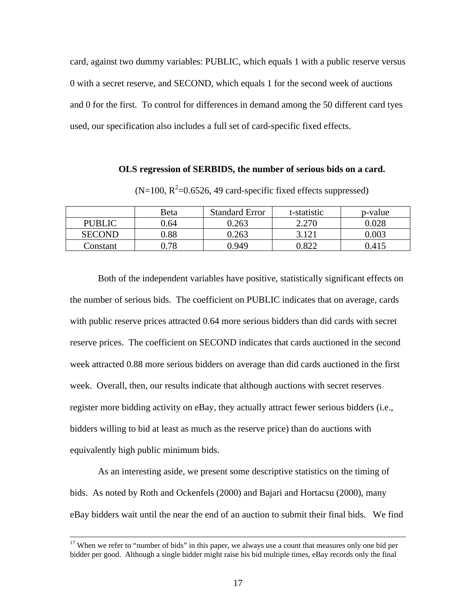card, against two dummy variables: PUBLIC, which equals 1 with a public reserve versus 0 with a secret reserve, and SECOND, which equals 1 for the second week of auctions and 0 for the first. To control for differences in demand among the 50 different card tyes used, our specification also includes a full set of card-specific fixed effects.

#### **OLS regression of SERBIDS, the number of serious bids on a card.**

|               | Beta | <b>Standard Error</b> | t-statistic | p-value |
|---------------|------|-----------------------|-------------|---------|
| <b>PUBLIC</b> | .64  | 0.263                 | 2.270       |         |
| <b>SECOND</b> | 0.88 | 0.263                 | 3.121       | 0.003   |
| Constant      | 1.78 | ን 949                 | 0.822       | 0.415   |

 $(N=100, R^2=0.6526, 49$  card-specific fixed effects suppressed)

Both of the independent variables have positive, statistically significant effects on the number of serious bids. The coefficient on PUBLIC indicates that on average, cards with public reserve prices attracted 0.64 more serious bidders than did cards with secret reserve prices. The coefficient on SECOND indicates that cards auctioned in the second week attracted 0.88 more serious bidders on average than did cards auctioned in the first week. Overall, then, our results indicate that although auctions with secret reserves register more bidding activity on eBay, they actually attract fewer serious bidders (i.e., bidders willing to bid at least as much as the reserve price) than do auctions with equivalently high public minimum bids.

As an interesting aside, we present some descriptive statistics on the timing of bids. As noted by Roth and Ockenfels (2000) and Bajari and Hortacsu (2000), many eBay bidders wait until the near the end of an auction to submit their final bids. We find

<sup>&</sup>lt;sup>17</sup> When we refer to "number of bids" in this paper, we always use a count that measures only one bid per bidder per good. Although a single bidder might raise his bid multiple times, eBay records only the final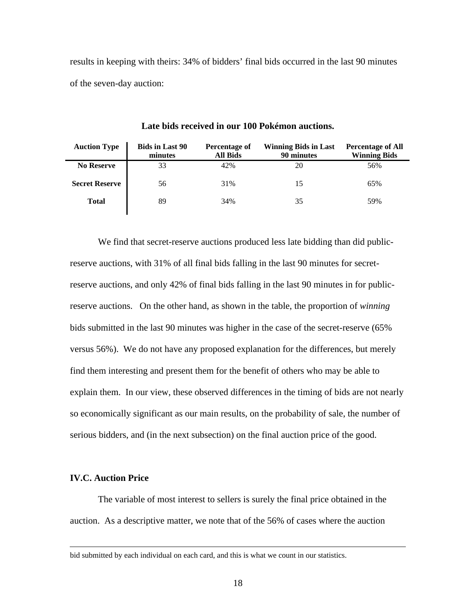results in keeping with theirs: 34% of bidders' final bids occurred in the last 90 minutes of the seven-day auction:

| <b>Bids in Last 90</b><br>minutes | Percentage of<br>All Bids | <b>Winning Bids in Last</b><br>90 minutes | <b>Percentage of All</b><br><b>Winning Bids</b> |
|-----------------------------------|---------------------------|-------------------------------------------|-------------------------------------------------|
| 33                                | 42%                       | 20                                        | 56%                                             |
| 56                                | 31%                       | 15                                        | 65%                                             |
| 89                                | 34%                       | 35                                        | 59%                                             |
|                                   |                           |                                           |                                                 |

**Late bids received in our 100 Pokémon auctions.**

We find that secret-reserve auctions produced less late bidding than did publicreserve auctions, with 31% of all final bids falling in the last 90 minutes for secretreserve auctions, and only 42% of final bids falling in the last 90 minutes in for publicreserve auctions. On the other hand, as shown in the table, the proportion of *winning* bids submitted in the last 90 minutes was higher in the case of the secret-reserve (65% versus 56%). We do not have any proposed explanation for the differences, but merely find them interesting and present them for the benefit of others who may be able to explain them. In our view, these observed differences in the timing of bids are not nearly so economically significant as our main results, on the probability of sale, the number of serious bidders, and (in the next subsection) on the final auction price of the good.

#### **IV.C. Auction Price**

 $\overline{a}$ 

The variable of most interest to sellers is surely the final price obtained in the auction. As a descriptive matter, we note that of the 56% of cases where the auction

bid submitted by each individual on each card, and this is what we count in our statistics.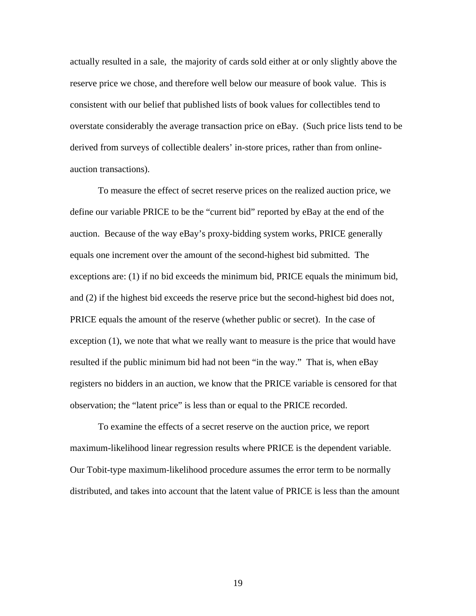actually resulted in a sale, the majority of cards sold either at or only slightly above the reserve price we chose, and therefore well below our measure of book value. This is consistent with our belief that published lists of book values for collectibles tend to overstate considerably the average transaction price on eBay. (Such price lists tend to be derived from surveys of collectible dealers' in-store prices, rather than from onlineauction transactions).

To measure the effect of secret reserve prices on the realized auction price, we define our variable PRICE to be the "current bid" reported by eBay at the end of the auction. Because of the way eBay's proxy-bidding system works, PRICE generally equals one increment over the amount of the second-highest bid submitted. The exceptions are: (1) if no bid exceeds the minimum bid, PRICE equals the minimum bid, and (2) if the highest bid exceeds the reserve price but the second-highest bid does not, PRICE equals the amount of the reserve (whether public or secret). In the case of exception (1), we note that what we really want to measure is the price that would have resulted if the public minimum bid had not been "in the way." That is, when eBay registers no bidders in an auction, we know that the PRICE variable is censored for that observation; the "latent price" is less than or equal to the PRICE recorded.

To examine the effects of a secret reserve on the auction price, we report maximum-likelihood linear regression results where PRICE is the dependent variable. Our Tobit-type maximum-likelihood procedure assumes the error term to be normally distributed, and takes into account that the latent value of PRICE is less than the amount

19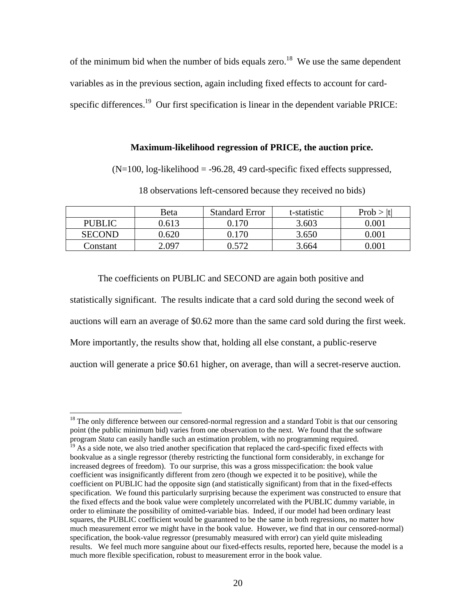of the minimum bid when the number of bids equals zero.<sup>18</sup> We use the same dependent variables as in the previous section, again including fixed effects to account for cardspecific differences.<sup>19</sup> Our first specification is linear in the dependent variable PRICE:

#### **Maximum-likelihood regression of PRICE, the auction price.**

 $(N=100, \text{log-likelihood} = -96.28, 49 \text{ card-specific fixed effects suppressed},$ 

|               | Beta  | <b>Standard Error</b> | t-statistic | Prob      |
|---------------|-------|-----------------------|-------------|-----------|
| <b>PUBLIC</b> | 9.613 | 0.170                 | 3.603       | $0.001\,$ |
| <b>SECOND</b> | 0.620 | 0.170                 | 3.650       | 0.001     |
| Constant      | 2.097 | .57 <sup>o</sup>      | 3.664       | 0.001     |

18 observations left-censored because they received no bids)

The coefficients on PUBLIC and SECOND are again both positive and statistically significant. The results indicate that a card sold during the second week of auctions will earn an average of \$0.62 more than the same card sold during the first week. More importantly, the results show that, holding all else constant, a public-reserve auction will generate a price \$0.61 higher, on average, than will a secret-reserve auction.

 $18$  The only difference between our censored-normal regression and a standard Tobit is that our censoring point (the public minimum bid) varies from one observation to the next. We found that the software program *Stata* can easily handle such an estimation problem, with no programming required.

 $19$  As a side note, we also tried another specification that replaced the card-specific fixed effects with bookvalue as a single regressor (thereby restricting the functional form considerably, in exchange for increased degrees of freedom). To our surprise, this was a gross misspecification: the book value coefficient was insignificantly different from zero (though we expected it to be positive), while the coefficient on PUBLIC had the opposite sign (and statistically significant) from that in the fixed-effects specification. We found this particularly surprising because the experiment was constructed to ensure that the fixed effects and the book value were completely uncorrelated with the PUBLIC dummy variable, in order to eliminate the possibility of omitted-variable bias. Indeed, if our model had been ordinary least squares, the PUBLIC coefficient would be guaranteed to be the same in both regressions, no matter how much measurement error we might have in the book value. However, we find that in our censored-normal) specification, the book-value regressor (presumably measured with error) can yield quite misleading results. We feel much more sanguine about our fixed-effects results, reported here, because the model is a much more flexible specification, robust to measurement error in the book value.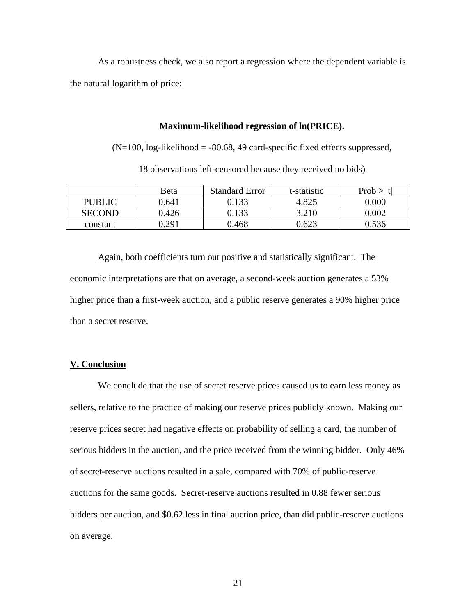As a robustness check, we also report a regression where the dependent variable is the natural logarithm of price:

#### **Maximum-likelihood regression of ln(PRICE).**

 $(N=100, \log-11)$  likelihood = -80.68, 49 card-specific fixed effects suppressed,

|               | Beta  | <b>Standard Error</b> | t-statistic | Prob >  t |
|---------------|-------|-----------------------|-------------|-----------|
| <b>PUBLIC</b> | 0.641 | 0.133                 | 4.825       | 0.000     |
| <b>SECOND</b> | 0.426 | 0.133                 | 3.210       | 0.002     |
| constant      | 0.291 | 0.468                 | 0.623       | 0.536     |

18 observations left-censored because they received no bids)

Again, both coefficients turn out positive and statistically significant. The economic interpretations are that on average, a second-week auction generates a 53% higher price than a first-week auction, and a public reserve generates a 90% higher price than a secret reserve.

#### **V. Conclusion**

We conclude that the use of secret reserve prices caused us to earn less money as sellers, relative to the practice of making our reserve prices publicly known. Making our reserve prices secret had negative effects on probability of selling a card, the number of serious bidders in the auction, and the price received from the winning bidder. Only 46% of secret-reserve auctions resulted in a sale, compared with 70% of public-reserve auctions for the same goods. Secret-reserve auctions resulted in 0.88 fewer serious bidders per auction, and \$0.62 less in final auction price, than did public-reserve auctions on average.

21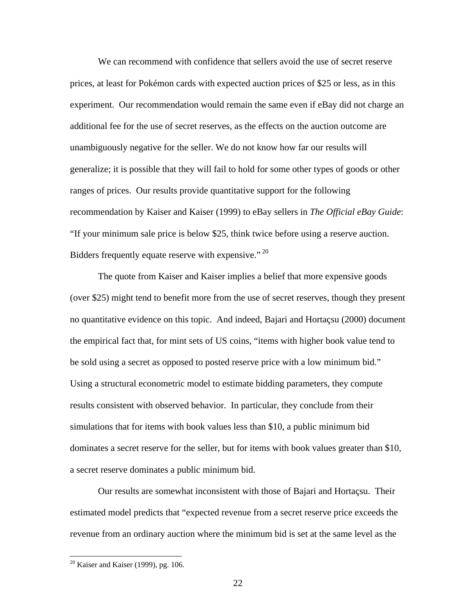We can recommend with confidence that sellers avoid the use of secret reserve prices, at least for Pokémon cards with expected auction prices of \$25 or less, as in this experiment. Our recommendation would remain the same even if eBay did not charge an additional fee for the use of secret reserves, as the effects on the auction outcome are unambiguously negative for the seller. We do not know how far our results will generalize; it is possible that they will fail to hold for some other types of goods or other ranges of prices. Our results provide quantitative support for the following recommendation by Kaiser and Kaiser (1999) to eBay sellers in *The Official eBay Guide*: "If your minimum sale price is below \$25, think twice before using a reserve auction. Bidders frequently equate reserve with expensive."  $20$ 

The quote from Kaiser and Kaiser implies a belief that more expensive goods (over \$25) might tend to benefit more from the use of secret reserves, though they present no quantitative evidence on this topic. And indeed, Bajari and Hortaçsu (2000) document the empirical fact that, for mint sets of US coins, "items with higher book value tend to be sold using a secret as opposed to posted reserve price with a low minimum bid." Using a structural econometric model to estimate bidding parameters, they compute results consistent with observed behavior. In particular, they conclude from their simulations that for items with book values less than \$10, a public minimum bid dominates a secret reserve for the seller, but for items with book values greater than \$10, a secret reserve dominates a public minimum bid.

Our results are somewhat inconsistent with those of Bajari and Hortaçsu. Their estimated model predicts that "expected revenue from a secret reserve price exceeds the revenue from an ordinary auction where the minimum bid is set at the same level as the

 $20$  Kaiser and Kaiser (1999), pg. 106.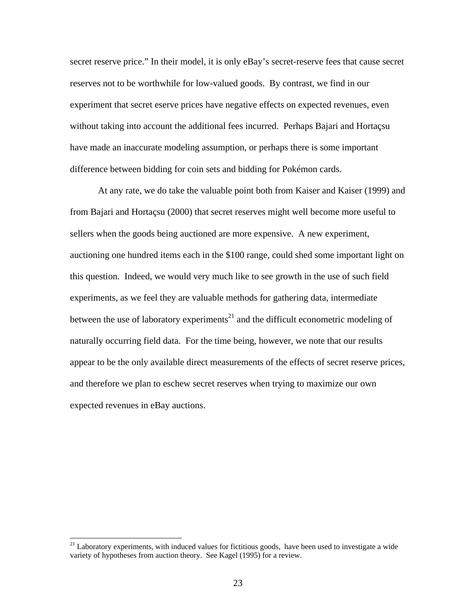secret reserve price." In their model, it is only eBay's secret-reserve fees that cause secret reserves not to be worthwhile for low-valued goods. By contrast, we find in our experiment that secret eserve prices have negative effects on expected revenues, even without taking into account the additional fees incurred. Perhaps Bajari and Hortaçsu have made an inaccurate modeling assumption, or perhaps there is some important difference between bidding for coin sets and bidding for Pokémon cards.

At any rate, we do take the valuable point both from Kaiser and Kaiser (1999) and from Bajari and Hortaçsu (2000) that secret reserves might well become more useful to sellers when the goods being auctioned are more expensive. A new experiment, auctioning one hundred items each in the \$100 range, could shed some important light on this question. Indeed, we would very much like to see growth in the use of such field experiments, as we feel they are valuable methods for gathering data, intermediate between the use of laboratory experiments<sup>21</sup> and the difficult econometric modeling of naturally occurring field data. For the time being, however, we note that our results appear to be the only available direct measurements of the effects of secret reserve prices, and therefore we plan to eschew secret reserves when trying to maximize our own expected revenues in eBay auctions.

 $21$  Laboratory experiments, with induced values for fictitious goods, have been used to investigate a wide variety of hypotheses from auction theory. See Kagel (1995) for a review.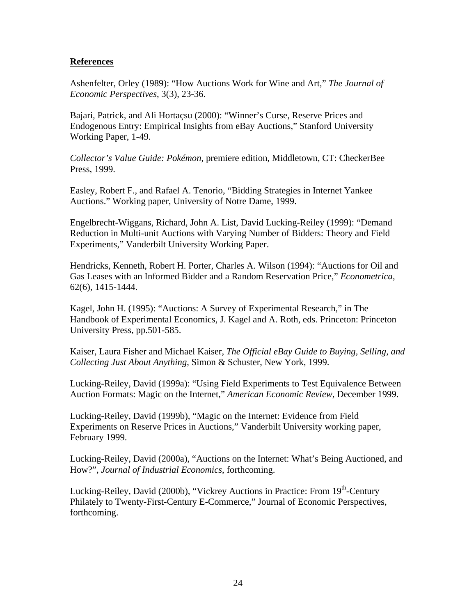### **References**

Ashenfelter, Orley (1989): "How Auctions Work for Wine and Art," *The Journal of Economic Perspectives*, 3(3), 23-36.

Bajari, Patrick, and Ali Hortaçsu (2000): "Winner's Curse, Reserve Prices and Endogenous Entry: Empirical Insights from eBay Auctions," Stanford University Working Paper, 1-49.

*Collector's Value Guide: Pokémon*, premiere edition, Middletown, CT: CheckerBee Press, 1999.

Easley, Robert F., and Rafael A. Tenorio, "Bidding Strategies in Internet Yankee Auctions." Working paper, University of Notre Dame, 1999.

Engelbrecht-Wiggans, Richard, John A. List, David Lucking-Reiley (1999): "Demand Reduction in Multi-unit Auctions with Varying Number of Bidders: Theory and Field Experiments," Vanderbilt University Working Paper.

Hendricks, Kenneth, Robert H. Porter, Charles A. Wilson (1994): "Auctions for Oil and Gas Leases with an Informed Bidder and a Random Reservation Price," *Econometrica*, 62(6), 1415-1444.

Kagel, John H. (1995): "Auctions: A Survey of Experimental Research," in The Handbook of Experimental Economics, J. Kagel and A. Roth, eds. Princeton: Princeton University Press, pp.501-585.

Kaiser, Laura Fisher and Michael Kaiser, *The Official eBay Guide to Buying, Selling, and Collecting Just About Anything*, Simon & Schuster, New York, 1999.

Lucking-Reiley, David (1999a): "Using Field Experiments to Test Equivalence Between Auction Formats: Magic on the Internet," *American Economic Review,* December 1999.

Lucking-Reiley, David (1999b), "Magic on the Internet: Evidence from Field Experiments on Reserve Prices in Auctions," Vanderbilt University working paper, February 1999.

Lucking-Reiley, David (2000a), "Auctions on the Internet: What's Being Auctioned, and How?", *Journal of Industrial Economics*, forthcoming.

Lucking-Reiley, David (2000b), "Vickrey Auctions in Practice: From 19<sup>th</sup>-Century Philately to Twenty-First-Century E-Commerce," Journal of Economic Perspectives, forthcoming.